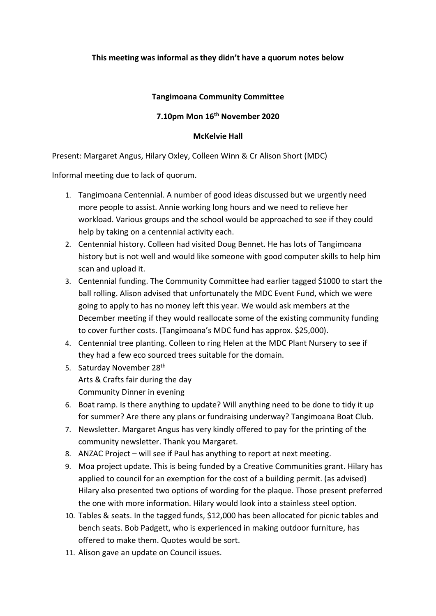## **This meeting was informal as they didn't have a quorum notes below**

## **Tangimoana Community Committee**

## **7.10pm Mon 16th November 2020**

## **McKelvie Hall**

Present: Margaret Angus, Hilary Oxley, Colleen Winn & Cr Alison Short (MDC)

Informal meeting due to lack of quorum.

- 1. Tangimoana Centennial. A number of good ideas discussed but we urgently need more people to assist. Annie working long hours and we need to relieve her workload. Various groups and the school would be approached to see if they could help by taking on a centennial activity each.
- 2. Centennial history. Colleen had visited Doug Bennet. He has lots of Tangimoana history but is not well and would like someone with good computer skills to help him scan and upload it.
- 3. Centennial funding. The Community Committee had earlier tagged \$1000 to start the ball rolling. Alison advised that unfortunately the MDC Event Fund, which we were going to apply to has no money left this year. We would ask members at the December meeting if they would reallocate some of the existing community funding to cover further costs. (Tangimoana's MDC fund has approx. \$25,000).
- 4. Centennial tree planting. Colleen to ring Helen at the MDC Plant Nursery to see if they had a few eco sourced trees suitable for the domain.
- 5. Saturday November 28<sup>th</sup> Arts & Crafts fair during the day Community Dinner in evening
- 6. Boat ramp. Is there anything to update? Will anything need to be done to tidy it up for summer? Are there any plans or fundraising underway? Tangimoana Boat Club.
- 7. Newsletter. Margaret Angus has very kindly offered to pay for the printing of the community newsletter. Thank you Margaret.
- 8. ANZAC Project will see if Paul has anything to report at next meeting.
- 9. Moa project update. This is being funded by a Creative Communities grant. Hilary has applied to council for an exemption for the cost of a building permit. (as advised) Hilary also presented two options of wording for the plaque. Those present preferred the one with more information. Hilary would look into a stainless steel option.
- 10. Tables & seats. In the tagged funds, \$12,000 has been allocated for picnic tables and bench seats. Bob Padgett, who is experienced in making outdoor furniture, has offered to make them. Quotes would be sort.
- 11. Alison gave an update on Council issues.